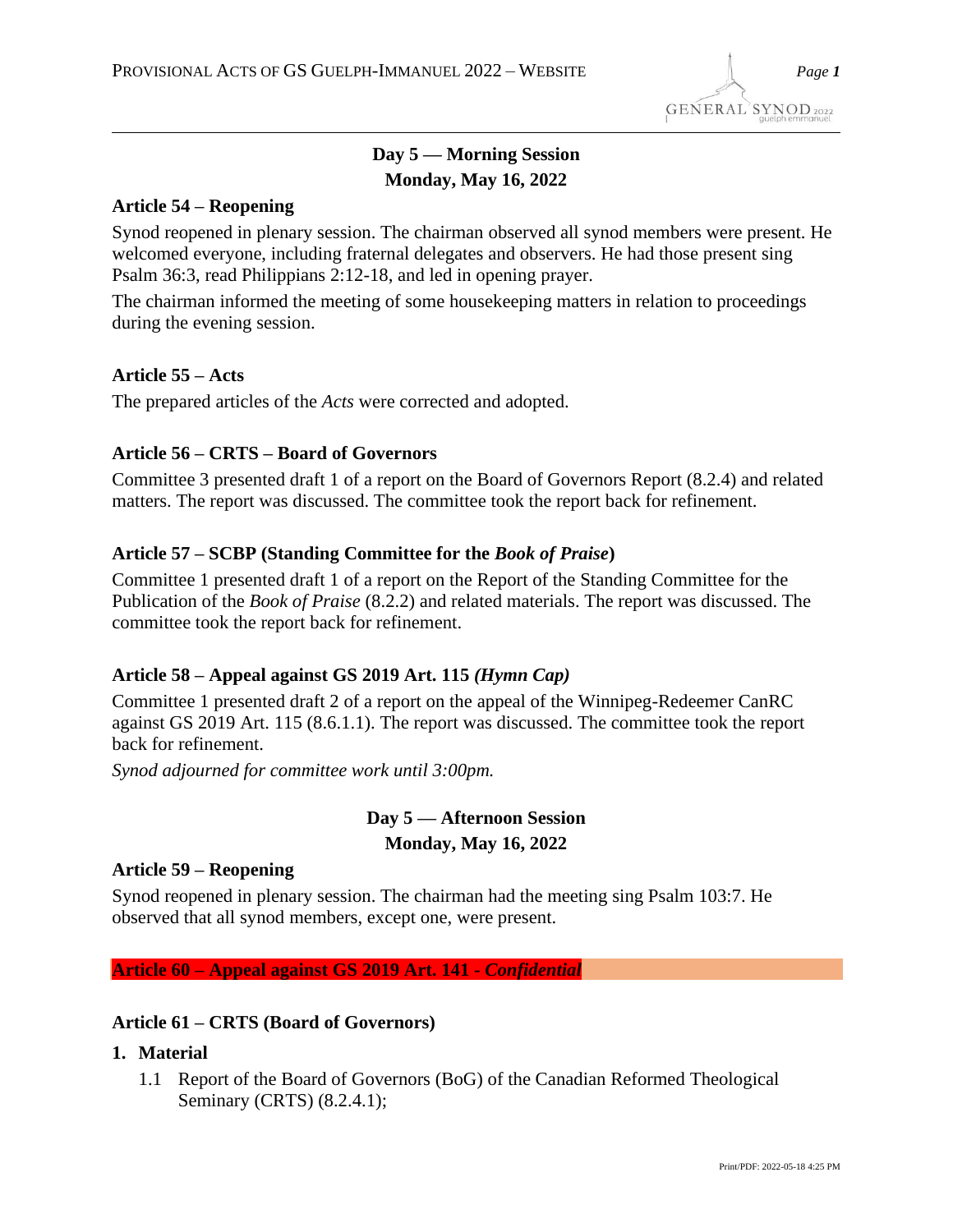# **Day 5 — Morning Session Monday, May 16, 2022**

## **Article 54 – Reopening**

Synod reopened in plenary session. The chairman observed all synod members were present. He welcomed everyone, including fraternal delegates and observers. He had those present sing Psalm 36:3, read Philippians 2:12-18, and led in opening prayer.

The chairman informed the meeting of some housekeeping matters in relation to proceedings during the evening session.

## **Article 55 – Acts**

The prepared articles of the *Acts* were corrected and adopted.

## **Article 56 – CRTS – Board of Governors**

Committee 3 presented draft 1 of a report on the Board of Governors Report (8.2.4) and related matters. The report was discussed. The committee took the report back for refinement.

## **Article 57 – SCBP (Standing Committee for the** *Book of Praise***)**

Committee 1 presented draft 1 of a report on the Report of the Standing Committee for the Publication of the *Book of Praise* (8.2.2) and related materials. The report was discussed. The committee took the report back for refinement.

## **Article 58 – Appeal against GS 2019 Art. 115** *(Hymn Cap)*

Committee 1 presented draft 2 of a report on the appeal of the Winnipeg-Redeemer CanRC against GS 2019 Art. 115 (8.6.1.1). The report was discussed. The committee took the report back for refinement.

*Synod adjourned for committee work until 3:00pm.*

## **Day 5 — Afternoon Session Monday, May 16, 2022**

## **Article 59 – Reopening**

Synod reopened in plenary session. The chairman had the meeting sing Psalm 103:7. He observed that all synod members, except one, were present.

**Article 60 – Appeal against GS 2019 Art. 141 -** *Confidential*

## **Article 61 – CRTS (Board of Governors)**

- **1. Material**
	- 1.1 Report of the Board of Governors (BoG) of the Canadian Reformed Theological Seminary (CRTS) (8.2.4.1);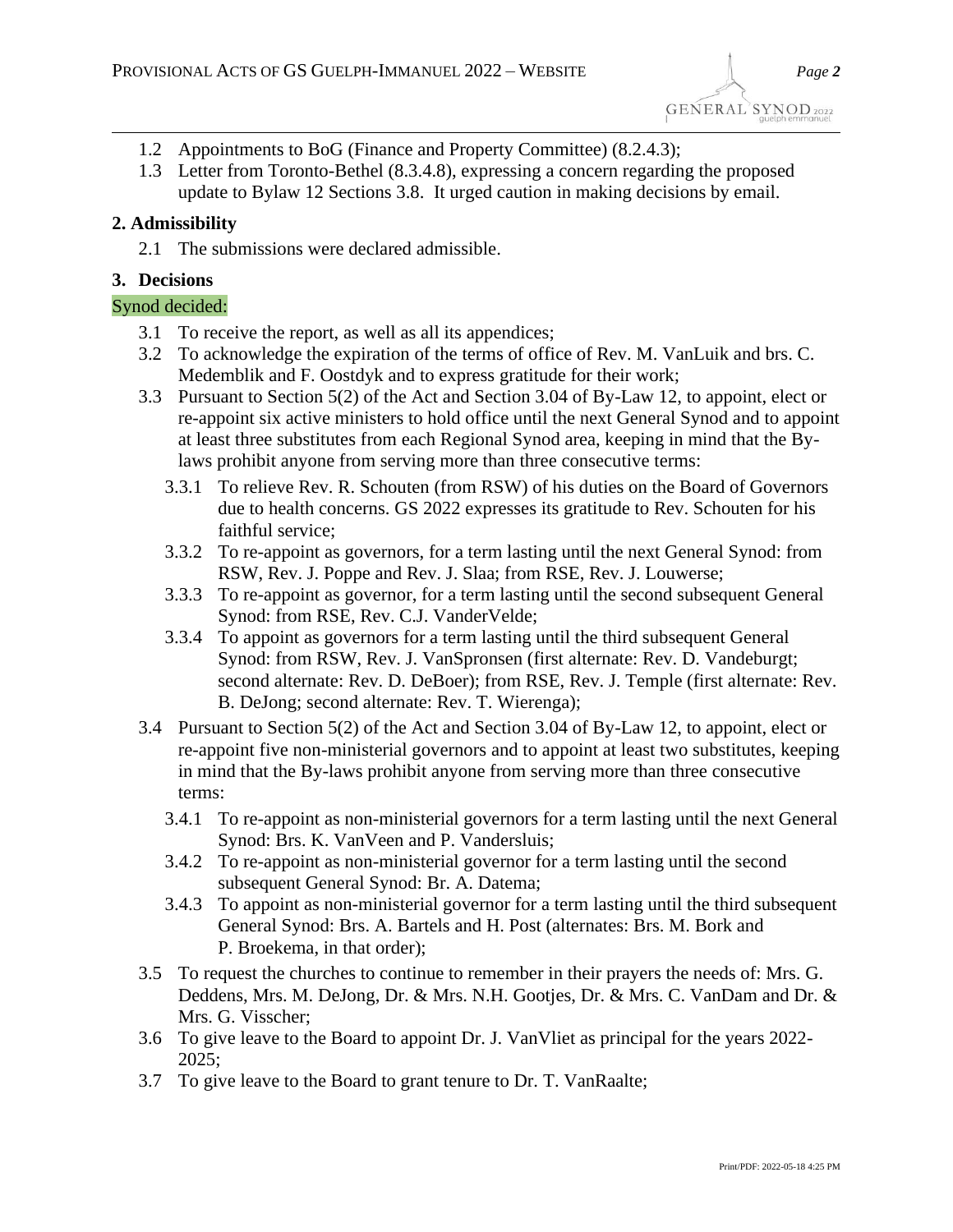- 1.2 Appointments to BoG (Finance and Property Committee) (8.2.4.3);
- 1.3 Letter from Toronto-Bethel (8.3.4.8), expressing a concern regarding the proposed update to Bylaw 12 Sections 3.8. It urged caution in making decisions by email.

## **2. Admissibility**

2.1 The submissions were declared admissible.

## **3. Decisions**

## Synod decided:

- 3.1 To receive the report, as well as all its appendices;
- 3.2 To acknowledge the expiration of the terms of office of Rev. M. VanLuik and brs. C. Medemblik and F. Oostdyk and to express gratitude for their work;
- 3.3 Pursuant to Section 5(2) of the Act and Section 3.04 of By-Law 12, to appoint, elect or re-appoint six active ministers to hold office until the next General Synod and to appoint at least three substitutes from each Regional Synod area, keeping in mind that the Bylaws prohibit anyone from serving more than three consecutive terms:
	- 3.3.1 To relieve Rev. R. Schouten (from RSW) of his duties on the Board of Governors due to health concerns. GS 2022 expresses its gratitude to Rev. Schouten for his faithful service;
	- 3.3.2 To re-appoint as governors, for a term lasting until the next General Synod: from RSW, Rev. J. Poppe and Rev. J. Slaa; from RSE, Rev. J. Louwerse;
	- 3.3.3 To re-appoint as governor, for a term lasting until the second subsequent General Synod: from RSE, Rev. C.J. VanderVelde;
	- 3.3.4 To appoint as governors for a term lasting until the third subsequent General Synod: from RSW, Rev. J. VanSpronsen (first alternate: Rev. D. Vandeburgt; second alternate: Rev. D. DeBoer); from RSE, Rev. J. Temple (first alternate: Rev. B. DeJong; second alternate: Rev. T. Wierenga);
- 3.4 Pursuant to Section 5(2) of the Act and Section 3.04 of By-Law 12, to appoint, elect or re-appoint five non-ministerial governors and to appoint at least two substitutes, keeping in mind that the By-laws prohibit anyone from serving more than three consecutive terms:
	- 3.4.1 To re-appoint as non-ministerial governors for a term lasting until the next General Synod: Brs. K. VanVeen and P. Vandersluis;
	- 3.4.2 To re-appoint as non-ministerial governor for a term lasting until the second subsequent General Synod: Br. A. Datema;
	- 3.4.3 To appoint as non-ministerial governor for a term lasting until the third subsequent General Synod: Brs. A. Bartels and H. Post (alternates: Brs. M. Bork and P. Broekema, in that order);
- 3.5 To request the churches to continue to remember in their prayers the needs of: Mrs. G. Deddens, Mrs. M. DeJong, Dr. & Mrs. N.H. Gootjes, Dr. & Mrs. C. VanDam and Dr. & Mrs. G. Visscher;
- 3.6 To give leave to the Board to appoint Dr. J. VanVliet as principal for the years 2022- 2025;
- 3.7 To give leave to the Board to grant tenure to Dr. T. VanRaalte;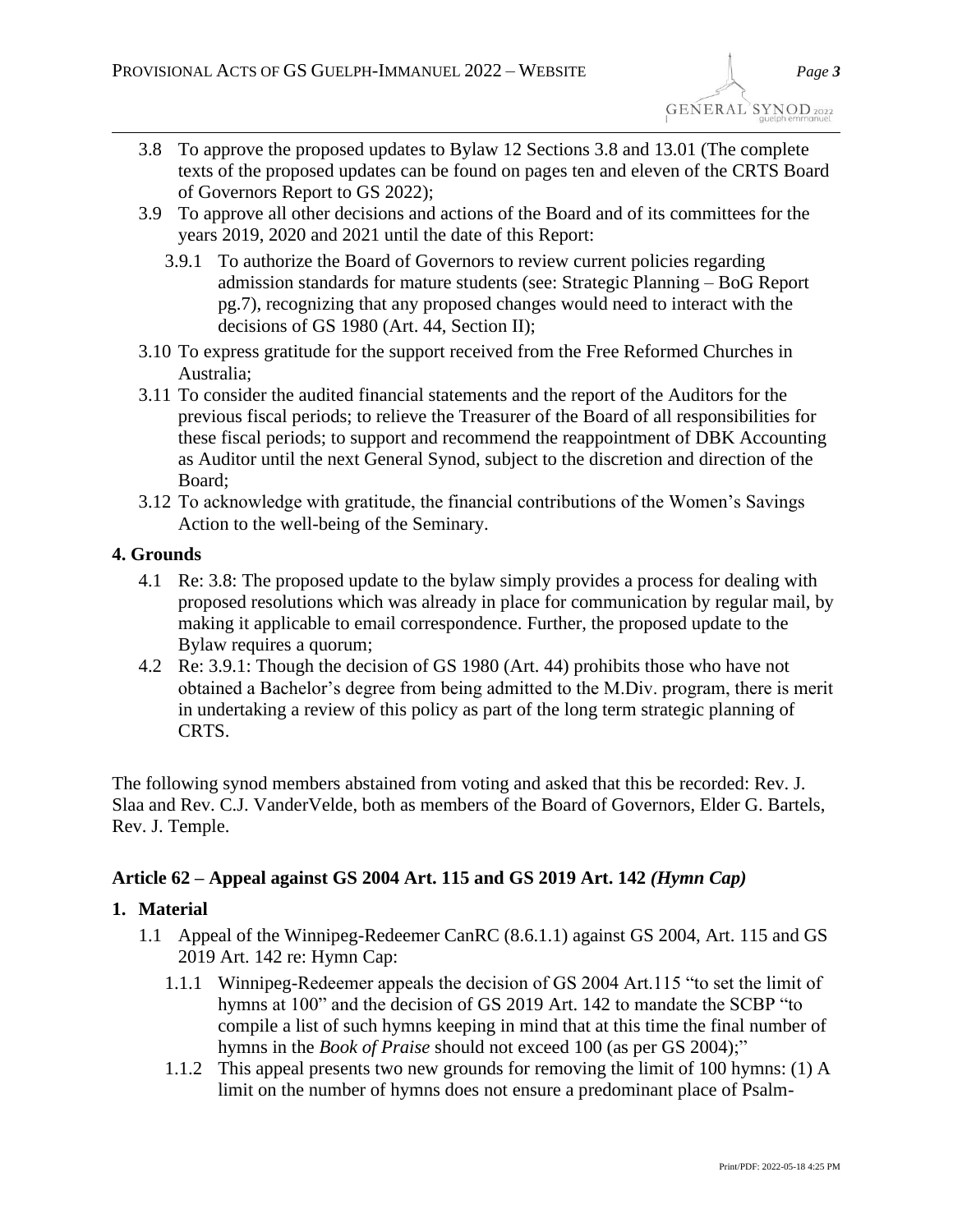- 3.8 To approve the proposed updates to Bylaw 12 Sections 3.8 and 13.01 (The complete texts of the proposed updates can be found on pages ten and eleven of the CRTS Board of Governors Report to GS 2022);
- 3.9 To approve all other decisions and actions of the Board and of its committees for the years 2019, 2020 and 2021 until the date of this Report:
	- 3.9.1 To authorize the Board of Governors to review current policies regarding admission standards for mature students (see: Strategic Planning – BoG Report pg.7), recognizing that any proposed changes would need to interact with the decisions of GS 1980 (Art. 44, Section II);
- 3.10 To express gratitude for the support received from the Free Reformed Churches in Australia;
- 3.11 To consider the audited financial statements and the report of the Auditors for the previous fiscal periods; to relieve the Treasurer of the Board of all responsibilities for these fiscal periods; to support and recommend the reappointment of DBK Accounting as Auditor until the next General Synod, subject to the discretion and direction of the Board;
- 3.12 To acknowledge with gratitude, the financial contributions of the Women's Savings Action to the well-being of the Seminary.

## **4. Grounds**

- 4.1 Re: 3.8: The proposed update to the bylaw simply provides a process for dealing with proposed resolutions which was already in place for communication by regular mail, by making it applicable to email correspondence. Further, the proposed update to the Bylaw requires a quorum;
- 4.2 Re: 3.9.1: Though the decision of GS 1980 (Art. 44) prohibits those who have not obtained a Bachelor's degree from being admitted to the M.Div. program, there is merit in undertaking a review of this policy as part of the long term strategic planning of CRTS.

The following synod members abstained from voting and asked that this be recorded: Rev. J. Slaa and Rev. C.J. VanderVelde, both as members of the Board of Governors, Elder G. Bartels, Rev. J. Temple.

## **Article 62 – Appeal against GS 2004 Art. 115 and GS 2019 Art. 142** *(Hymn Cap)*

## **1. Material**

- 1.1 Appeal of the Winnipeg-Redeemer CanRC (8.6.1.1) against GS 2004, Art. 115 and GS 2019 Art. 142 re: Hymn Cap:
	- 1.1.1 Winnipeg-Redeemer appeals the decision of GS 2004 Art.115 "to set the limit of hymns at 100" and the decision of GS 2019 Art. 142 to mandate the SCBP "to compile a list of such hymns keeping in mind that at this time the final number of hymns in the *Book of Praise* should not exceed 100 (as per GS 2004);"
	- 1.1.2 This appeal presents two new grounds for removing the limit of 100 hymns: (1) A limit on the number of hymns does not ensure a predominant place of Psalm-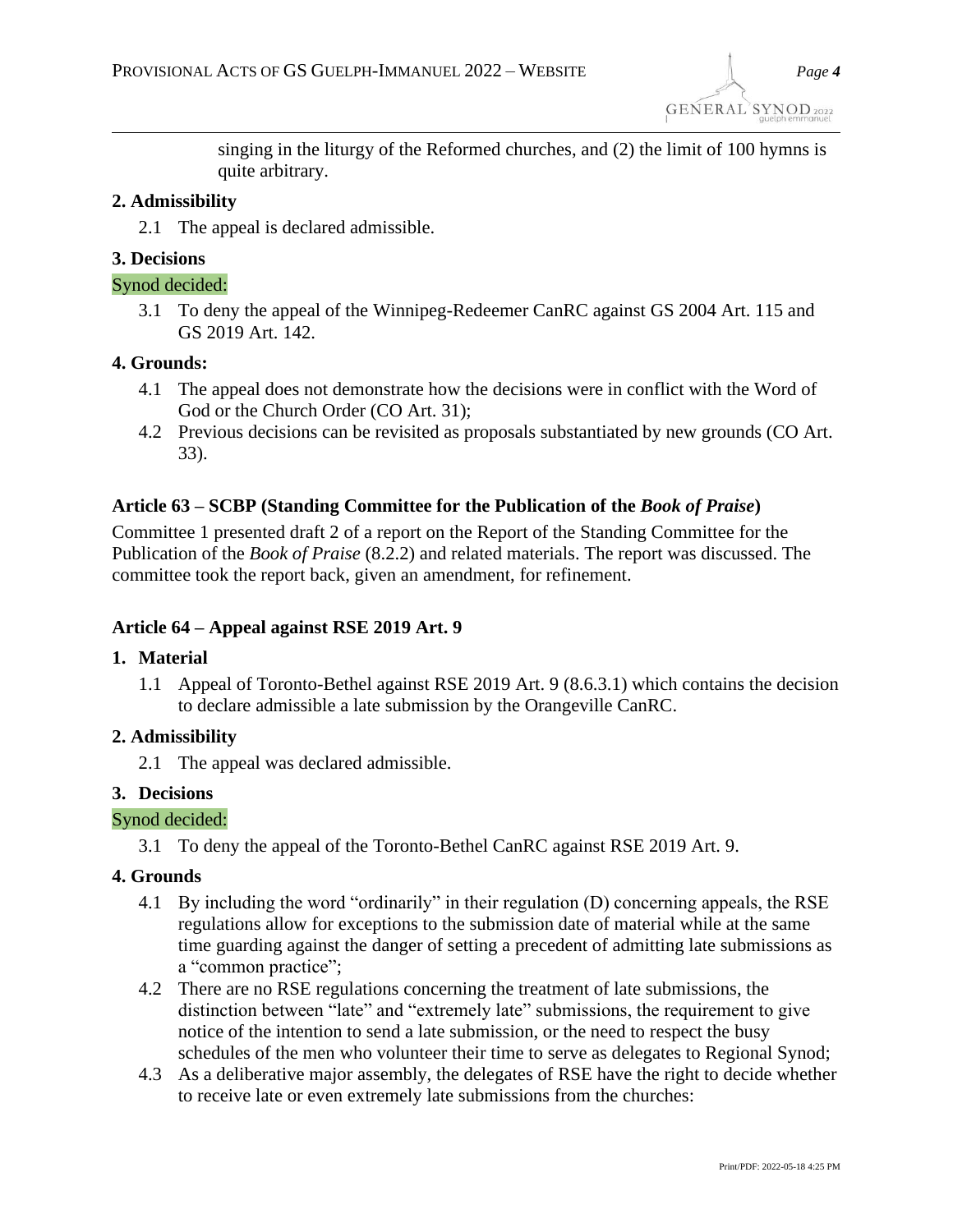singing in the liturgy of the Reformed churches, and (2) the limit of 100 hymns is quite arbitrary.

#### **2. Admissibility**

2.1 The appeal is declared admissible.

### **3. Decisions**

#### Synod decided:

3.1 To deny the appeal of the Winnipeg-Redeemer CanRC against GS 2004 Art. 115 and GS 2019 Art. 142.

#### **4. Grounds:**

- 4.1 The appeal does not demonstrate how the decisions were in conflict with the Word of God or the Church Order (CO Art. 31);
- 4.2 Previous decisions can be revisited as proposals substantiated by new grounds (CO Art. 33).

## **Article 63 – SCBP (Standing Committee for the Publication of the** *Book of Praise***)**

Committee 1 presented draft 2 of a report on the Report of the Standing Committee for the Publication of the *Book of Praise* (8.2.2) and related materials. The report was discussed. The committee took the report back, given an amendment, for refinement.

## **Article 64 – Appeal against RSE 2019 Art. 9**

#### **1. Material**

1.1 Appeal of Toronto-Bethel against RSE 2019 Art. 9 (8.6.3.1) which contains the decision to declare admissible a late submission by the Orangeville CanRC.

## **2. Admissibility**

2.1 The appeal was declared admissible.

#### **3. Decisions**

#### Synod decided:

3.1 To deny the appeal of the Toronto-Bethel CanRC against RSE 2019 Art. 9.

#### **4. Grounds**

- 4.1 By including the word "ordinarily" in their regulation (D) concerning appeals, the RSE regulations allow for exceptions to the submission date of material while at the same time guarding against the danger of setting a precedent of admitting late submissions as a "common practice";
- 4.2 There are no RSE regulations concerning the treatment of late submissions, the distinction between "late" and "extremely late" submissions, the requirement to give notice of the intention to send a late submission, or the need to respect the busy schedules of the men who volunteer their time to serve as delegates to Regional Synod;
- 4.3 As a deliberative major assembly, the delegates of RSE have the right to decide whether to receive late or even extremely late submissions from the churches: